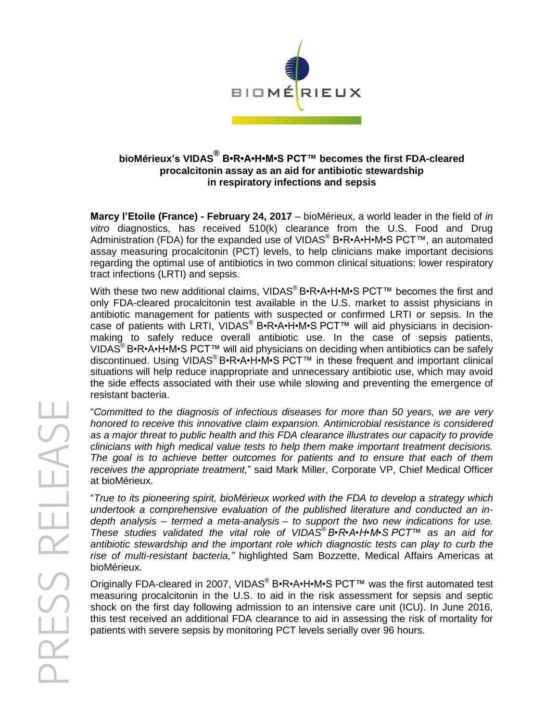

## **bioMérieux's VIDAS® B•R•A•H•M•S PCT™ becomes the first FDA-cleared procalcitonin assay as an aid for antibiotic stewardship in respiratory infections and sepsis**

**Marcy l'Etoile (France) - February 24, 2017** – bioMérieux, a world leader in the field of *in vitro* diagnostics, has received 510(k) clearance from the U.S. Food and Drug Administration (FDA) for the expanded use of VIDAS<sup>®</sup> B•R•A•H•M•S PCT™, an automated assay measuring procalcitonin (PCT) levels, to help clinicians make important decisions regarding the optimal use of antibiotics in two common clinical situations: lower respiratory tract infections (LRTI) and sepsis.

With these two new additional claims, VIDAS<sup>®</sup> B•R•A•H•M•S PCT<sup>™</sup> becomes the first and only FDA-cleared procalcitonin test available in the U.S. market to assist physicians in antibiotic management for patients with suspected or confirmed LRTI or sepsis. In the case of patients with LRTI, VIDAS® B•R•A•H•M•S PCT™ will aid physicians in decisionmaking to safely reduce overall antibiotic use. In the case of sepsis patients, VIDAS® B•R•A•H•M•S PCT™ will aid physicians on deciding when antibiotics can be safely discontinued. Using VIDAS® B•R•A•H•M•S PCT™ in these frequent and important clinical situations will help reduce inappropriate and unnecessary antibiotic use, which may avoid the side effects associated with their use while slowing and preventing the emergence of resistant bacteria.

"*Committed to the diagnosis of infectious diseases for more than 50 years, we are very honored to receive this innovative claim expansion. Antimicrobial resistance is considered as a major threat to public health and this FDA clearance illustrates our capacity to provide clinicians with high medical value tests to help them make important treatment decisions. The goal is to achieve better outcomes for patients and to ensure that each of them receives the appropriate treatment,*" said Mark Miller, Corporate VP, Chief Medical Officer at bioMérieux.

"*True to its pioneering spirit, bioMérieux worked with the FDA to develop a strategy which undertook a comprehensive evaluation of the published literature and conducted an indepth analysis – termed a meta-analysis – to support the two new indications for use. These studies validated the vital role of VIDAS® B•R•A•H•M•S PCT™ as an aid for antibiotic stewardship and the important role which diagnostic tests can play to curb the rise of multi-resistant bacteria,"* highlighted Sam Bozzette, Medical Affairs Americas at bioMérieux.

Originally FDA-cleared in 2007, VIDAS<sup>®</sup> B•R•A•H•M•S PCT<sup>™</sup> was the first automated test measuring procalcitonin in the U.S. to aid in the risk assessment for sepsis and septic shock on the first day following admission to an intensive care unit (ICU). In June 2016, this test received an additional FDA clearance to aid in assessing the risk of mortality for patients with severe sepsis by monitoring PCT levels serially over 96 hours.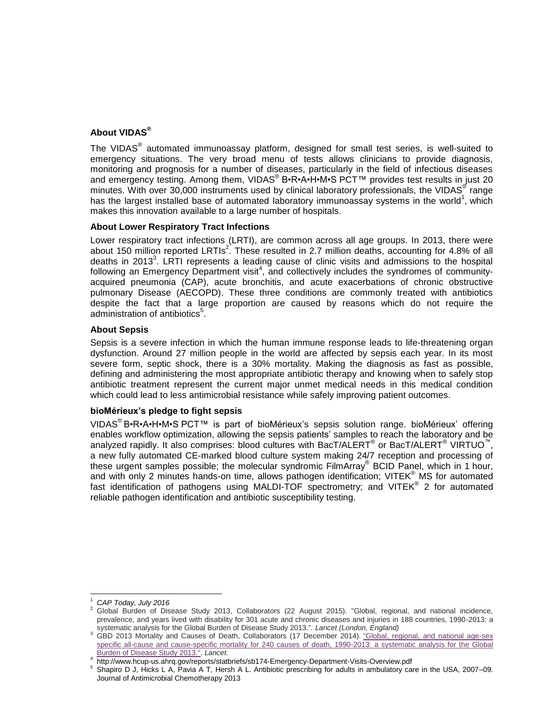# **About VIDAS®**

The VIDAS<sup>®</sup> automated immunoassay platform, designed for small test series, is well-suited to emergency situations. The very broad menu of tests allows clinicians to provide diagnosis, monitoring and prognosis for a number of diseases, particularly in the field of infectious diseases and emergency testing. Among them, VIDAS® B•R•A•H•M•S PCT™ provides test results in just 20 minutes. With over 30,000 instruments used by clinical laboratory professionals, the VIDAS<sup>®</sup> range has the largest installed base of automated laboratory immunoassay systems in the world<sup>1</sup>, which makes this innovation available to a large number of hospitals.

## **About Lower Respiratory Tract Infections**

Lower respiratory tract infections (LRTI), are common across all age groups. In 2013, there were about 150 million reported LRTIs<sup>2</sup>. These resulted in 2.7 million deaths, accounting for 4.8% of all deaths in 2013<sup>3</sup>. LRTI represents a leading cause of clinic visits and admissions to the hospital following an Emergency Department visit<sup>4</sup>, and collectively includes the syndromes of communityacquired pneumonia (CAP), acute bronchitis, and acute exacerbations of chronic obstructive pulmonary Disease (AECOPD). These three conditions are commonly treated with antibiotics despite the fact that a large proportion are caused by reasons which do not require the administration of antibiotics<sup>5</sup>.

### **About Sepsis**

Sepsis is a severe infection in which the human immune response leads to life-threatening organ dysfunction. Around 27 million people in the world are affected by sepsis each year. In its most severe form, septic shock, there is a 30% mortality. Making the diagnosis as fast as possible, defining and administering the most appropriate antibiotic therapy and knowing when to safely stop antibiotic treatment represent the current major unmet medical needs in this medical condition which could lead to less antimicrobial resistance while safely improving patient outcomes.

#### **bioMérieux's pledge to fight sepsis**

VIDAS<sup>®</sup> B•R•A•H•M•S PCT™ is part of bioMérieux's sepsis solution range. bioMérieux' offering enables workflow optimization, allowing the sepsis patients' samples to reach the laboratory and be analyzed rapidly. It also comprises: blood cultures with BacT/ALERT® or BacT/ALERT® VIRTUO™, a new fully automated CE-marked blood culture system making 24/7 reception and processing of these urgent samples possible; the molecular syndromic FilmArray® BCID Panel, which in 1 hour, and with only 2 minutes hands-on time, allows pathogen identification; VITEK<sup>®</sup> MS for automated fast identification of pathogens using MALDI-TOF spectrometry; and VITEK® 2 for automated reliable pathogen identification and antibiotic susceptibility testing.

<sup>1</sup> *CAP Today, July 2016*

<sup>2</sup> Global Burden of Disease Study 2013, Collaborators (22 August 2015). "Global, regional, and national incidence, prevalence, and years lived with disability for 301 acute and chronic diseases and injuries in 188 countries, 1990-2013: a systematic analysis for the Global Burden of Disease Study 2013.". *Lancet (London, England)*

<sup>&</sup>lt;sup>3</sup> GBD 2013 Mortality and Causes of Death, Collaborators (17 December 2014). "Global, regional, and national age-sex [specific all-cause and cause-specific mortality for 240 causes of death, 1990-2013: a systematic analysis for the Global](https://www.ncbi.nlm.nih.gov/pmc/articles/PMC4340604)  [Burden of Disease Study 2013.".](https://www.ncbi.nlm.nih.gov/pmc/articles/PMC4340604) *Lancet.*

<sup>4</sup> http://www.hcup-us.ahrq.gov/reports/statbriefs/sb174-Emergency-Department-Visits-Overview.pdf

<sup>5</sup> Shapiro D J, Hicks L A, Pavia A T, Hersh A L. Antibiotic prescribing for adults in ambulatory care in the USA, 2007–09. Journal of Antimicrobial Chemotherapy 2013